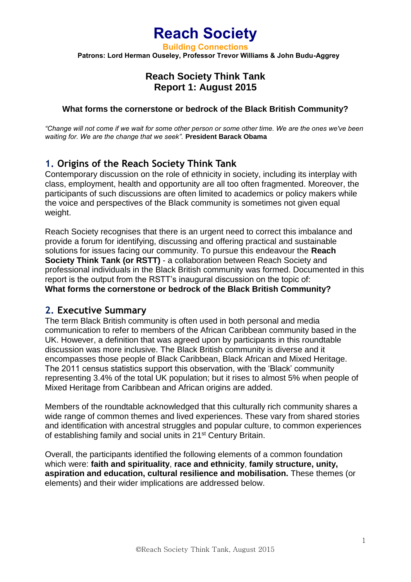**Building Connections Patrons: Lord Herman Ouseley, Professor Trevor Williams & John Budu-Aggrey**

## **Reach Society Think Tank Report 1: August 2015**

### **What forms the cornerstone or bedrock of the Black British Community?**

*"Change will not come if we wait for some other person or some other time. We are the ones we've been waiting for. We are the change that we seek".* **President Barack Obama**

### **1. Origins of the Reach Society Think Tank**

Contemporary discussion on the role of ethnicity in society, including its interplay with class, employment, health and opportunity are all too often fragmented. Moreover, the participants of such discussions are often limited to academics or policy makers while the voice and perspectives of the Black community is sometimes not given equal weight.

Reach Society recognises that there is an urgent need to correct this imbalance and provide a forum for identifying, discussing and offering practical and sustainable solutions for issues facing our community. To pursue this endeavour the **Reach Society Think Tank (or RSTT)** - a collaboration between Reach Society and professional individuals in the Black British community was formed. Documented in this report is the output from the RSTT's inaugural discussion on the topic of: **What forms the cornerstone or bedrock of the Black British Community?**

### **2. Executive Summary**

The term Black British community is often used in both personal and media communication to refer to members of the African Caribbean community based in the UK. However, a definition that was agreed upon by participants in this roundtable discussion was more inclusive. The Black British community is diverse and it encompasses those people of Black Caribbean, Black African and Mixed Heritage. The 2011 census statistics support this observation, with the 'Black' community representing 3.4% of the total UK population; but it rises to almost 5% when people of Mixed Heritage from Caribbean and African origins are added.

Members of the roundtable acknowledged that this culturally rich community shares a wide range of common themes and lived experiences. These vary from shared stories and identification with ancestral struggles and popular culture, to common experiences of establishing family and social units in 21<sup>st</sup> Century Britain.

Overall, the participants identified the following elements of a common foundation which were: **faith and spirituality**, **race and ethnicity**, **family structure, unity, aspiration and education, cultural resilience and mobilisation.** These themes (or elements) and their wider implications are addressed below.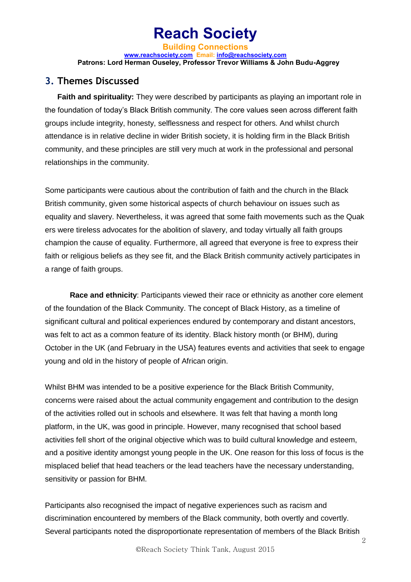**Building Connections [www.reachsociety.com](http://www.reachsociety.com/) Email: [info@reachsociety.com](mailto:info@reachsociety.com) Patrons: Lord Herman Ouseley, Professor Trevor Williams & John Budu-Aggrey**

**Reach Society**

## **3. Themes Discussed**

**Faith and spirituality:** They were described by participants as playing an important role in the foundation of today's Black British community. The core values seen across different faith groups include integrity, honesty, selflessness and respect for others. And whilst church attendance is in relative decline in wider British society, it is holding firm in the Black British community, and these principles are still very much at work in the professional and personal relationships in the community.

Some participants were cautious about the contribution of faith and the church in the Black British community, given some historical aspects of church behaviour on issues such as equality and slavery. Nevertheless, it was agreed that some faith movements such as the Quak ers were tireless advocates for the abolition of slavery, and today virtually all faith groups champion the cause of equality. Furthermore, all agreed that everyone is free to express their faith or religious beliefs as they see fit, and the Black British community actively participates in a range of faith groups.

**Race and ethnicity**: Participants viewed their race or ethnicity as another core element of the foundation of the Black Community. The concept of Black History, as a timeline of significant cultural and political experiences endured by contemporary and distant ancestors, was felt to act as a common feature of its identity. Black history month (or BHM), during October in the UK (and February in the USA) features events and activities that seek to engage young and old in the history of people of African origin.

Whilst BHM was intended to be a positive experience for the Black British Community, concerns were raised about the actual community engagement and contribution to the design of the activities rolled out in schools and elsewhere. It was felt that having a month long platform, in the UK, was good in principle. However, many recognised that school based activities fell short of the original objective which was to build cultural knowledge and esteem, and a positive identity amongst young people in the UK. One reason for this loss of focus is the misplaced belief that head teachers or the lead teachers have the necessary understanding, sensitivity or passion for BHM.

Participants also recognised the impact of negative experiences such as racism and discrimination encountered by members of the Black community, both overtly and covertly. Several participants noted the disproportionate representation of members of the Black British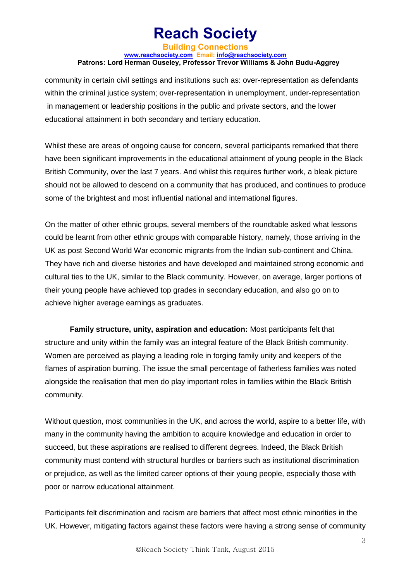#### **Building Connections [www.reachsociety.com](http://www.reachsociety.com/) Email: [info@reachsociety.com](mailto:info@reachsociety.com) Patrons: Lord Herman Ouseley, Professor Trevor Williams & John Budu-Aggrey**

community in certain civil settings and institutions such as: over-representation as defendants within the criminal justice system; over-representation in unemployment, under-representation in management or leadership positions in the public and private sectors, and the lower educational attainment in both secondary and tertiary education.

Whilst these are areas of ongoing cause for concern, several participants remarked that there have been significant improvements in the educational attainment of young people in the Black British Community, over the last 7 years. And whilst this requires further work, a bleak picture should not be allowed to descend on a community that has produced, and continues to produce some of the brightest and most influential national and international figures.

On the matter of other ethnic groups, several members of the roundtable asked what lessons could be learnt from other ethnic groups with comparable history, namely, those arriving in the UK as post Second World War economic migrants from the Indian sub-continent and China. They have rich and diverse histories and have developed and maintained strong economic and cultural ties to the UK, similar to the Black community. However, on average, larger portions of their young people have achieved top grades in secondary education, and also go on to achieve higher average earnings as graduates.

**Family structure, unity, aspiration and education:** Most participants felt that structure and unity within the family was an integral feature of the Black British community. Women are perceived as playing a leading role in forging family unity and keepers of the flames of aspiration burning. The issue the small percentage of fatherless families was noted alongside the realisation that men do play important roles in families within the Black British community.

Without question, most communities in the UK, and across the world, aspire to a better life, with many in the community having the ambition to acquire knowledge and education in order to succeed, but these aspirations are realised to different degrees. Indeed, the Black British community must contend with structural hurdles or barriers such as institutional discrimination or prejudice, as well as the limited career options of their young people, especially those with poor or narrow educational attainment.

Participants felt discrimination and racism are barriers that affect most ethnic minorities in the UK. However, mitigating factors against these factors were having a strong sense of community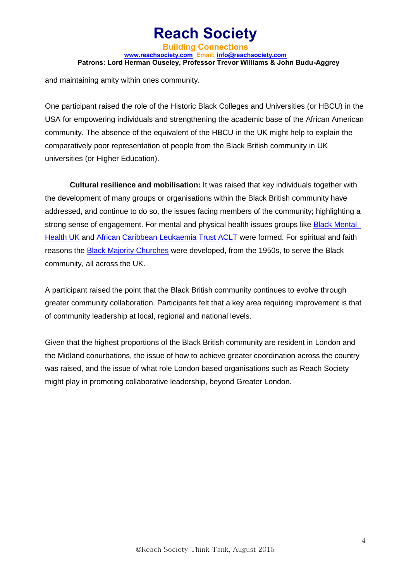**Building Connections [www.reachsociety.com](http://www.reachsociety.com/) Email: [info@reachsociety.com](mailto:info@reachsociety.com) Patrons: Lord Herman Ouseley, Professor Trevor Williams & John Budu-Aggrey**

and maintaining amity within ones community.

One participant raised the role of the Historic Black Colleges and Universities (or HBCU) in the USA for empowering individuals and strengthening the academic base of the African American community. The absence of the equivalent of the HBCU in the UK might help to explain the comparatively poor representation of people from the Black British community in UK universities (or Higher Education).

**Cultural resilience and mobilisation:** It was raised that key individuals together with the development of many groups or organisations within the Black British community have addressed, and continue to do so, the issues facing members of the community; highlighting a strong sense of engagement. For mental and physical health issues groups like Black Mental [Health UK](http://www.blackmentalhealth.org.uk/) and [African Caribbean Leukaemia Trust ACLT](http://www.aclt.org/) were formed. For spiritual and faith reasons the [Black Majority Churches](http://www.blackandmulticulturalchurches.co.uk/) were developed, from the 1950s, to serve the Black community, all across the UK.

A participant raised the point that the Black British community continues to evolve through greater community collaboration. Participants felt that a key area requiring improvement is that of community leadership at local, regional and national levels.

Given that the highest proportions of the Black British community are resident in London and the Midland conurbations, the issue of how to achieve greater coordination across the country was raised, and the issue of what role London based organisations such as Reach Society might play in promoting collaborative leadership, beyond Greater London.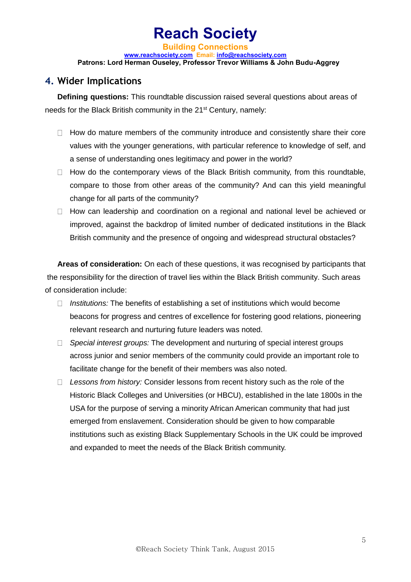**Reach Society Building Connections [www.reachsociety.com](http://www.reachsociety.com/) Email: [info@reachsociety.com](mailto:info@reachsociety.com) Patrons: Lord Herman Ouseley, Professor Trevor Williams & John Budu-Aggrey**

### **4. Wider Implications**

**Defining questions:** This roundtable discussion raised several questions about areas of needs for the Black British community in the 21<sup>st</sup> Century, namely:

- $\Box$  How do mature members of the community introduce and consistently share their core values with the younger generations, with particular reference to knowledge of self, and a sense of understanding ones legitimacy and power in the world?
- $\Box$  How do the contemporary views of the Black British community, from this roundtable, compare to those from other areas of the community? And can this yield meaningful change for all parts of the community?
- $\Box$  How can leadership and coordination on a regional and national level be achieved or improved, against the backdrop of limited number of dedicated institutions in the Black British community and the presence of ongoing and widespread structural obstacles?

**Areas of consideration:** On each of these questions, it was recognised by participants that the responsibility for the direction of travel lies within the Black British community. Such areas of consideration include:

- *Institutions:* The benefits of establishing a set of institutions which would become beacons for progress and centres of excellence for fostering good relations, pioneering relevant research and nurturing future leaders was noted.
- *Special interest groups:* The development and nurturing of special interest groups across junior and senior members of the community could provide an important role to facilitate change for the benefit of their members was also noted.
- *Lessons from history:* Consider lessons from recent history such as the role of the Historic Black Colleges and Universities (or HBCU), established in the late 1800s in the USA for the purpose of serving a minority African American community that had just emerged from enslavement. Consideration should be given to how comparable institutions such as existing Black Supplementary Schools in the UK could be improved and expanded to meet the needs of the Black British community.